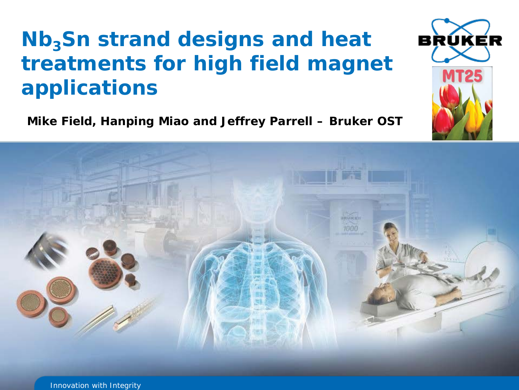## **Nb<sub>3</sub>Sn strand designs and heat treatments for high field magnet applications**

**Mike Field, Hanping Miao and Jeffrey Parrell – Bruker OST**



Innovation with Integrity

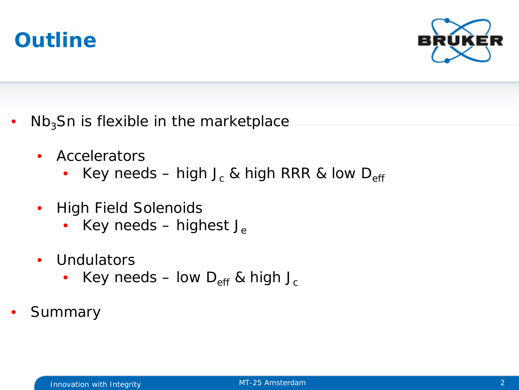



- $Nb<sub>3</sub>$ Sn is flexible in the marketplace
	- Accelerators
		- Key needs high J<sub>c</sub> & high RRR & low D<sub>eff</sub>
	- High Field Solenoids
		- Key needs highest  $J_e$
	- Undulators
		- Key needs low  $D_{\text{eff}}$  & high J<sub>c</sub>
- **Summary**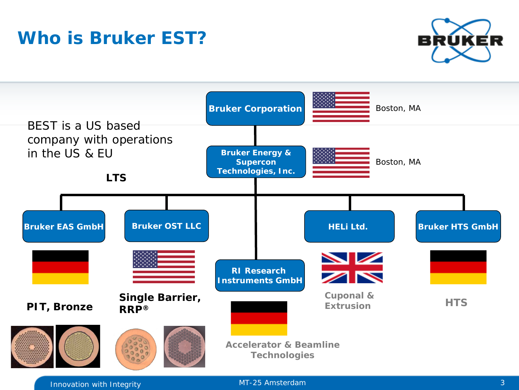### **Who is Bruker EST?**





Innovation with Integrity MT-25 Amsterdam 3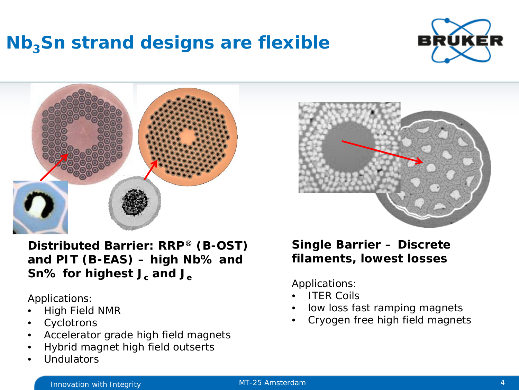### **Nb<sub>3</sub>Sn strand designs are flexible**





**Distributed Barrier: RRP® (B-OST) and PIT (B-EAS) – high Nb% and Sn% for highest J<sub>c</sub> and J<sub>e</sub>** 

Applications:

- High Field NMR
- **Cyclotrons**
- Accelerator grade high field magnets
- Hybrid magnet high field outserts
- **Undulators**



#### **Single Barrier – Discrete filaments, lowest losses**

Applications:

- **ITER Coils**
- low loss fast ramping magnets
- Cryogen free high field magnets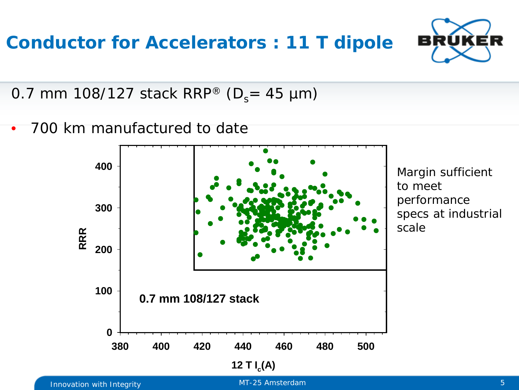

0.7 mm 108/127 stack RRP® ( $D_s$  = 45 µm)

• 700 km manufactured to date

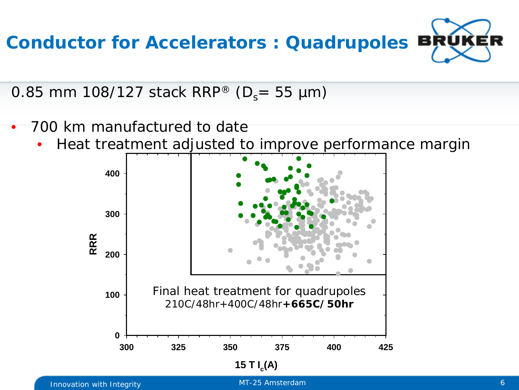

0.85 mm 108/127 stack RRP® ( $D_s$ = 55 µm)

- l, • 700 km manufactured to date
	- Heat treatment adjusted to improve performance margin

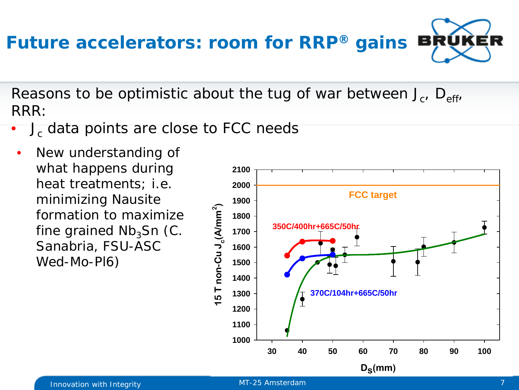# **Future accelerators: room for RRP® gains**

Reasons to be optimistic about the tug of war between  $J_c$ ,  $D_{eff}$ , RRR:

- J<sub>c</sub> data points are close to FCC needs
	- New understanding of what happens during heat treatments; i.e. minimizing Nausite formation to maximize fine grained  $Nb<sub>3</sub>Sn$  (C. Sanabria, FSU-ASC Wed-Mo-Pl6)

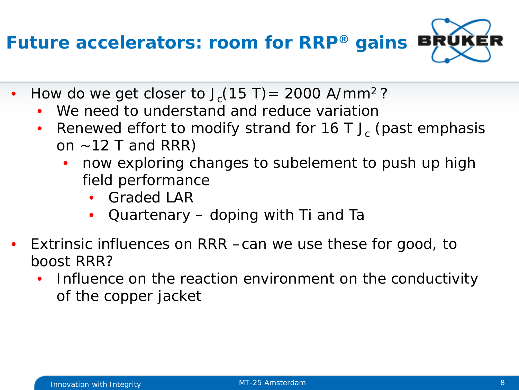**Future accelerators: room for RRP® gains**

- How do we get closer to  $J_c(15 T) = 2000 A/mm^2$ ?
	- We need to understand and reduce variation
	- Renewed effort to modify strand for  $16$  T J<sub>c</sub> (past emphasis on  $\sim$  12 T and RRR)
		- now exploring changes to subelement to push up high field performance
			- Graded LAR
			- Quartenary doping with Ti and Ta
- Extrinsic influences on RRR –can we use these for good, to boost RRR?
	- Influence on the reaction environment on the conductivity of the copper jacket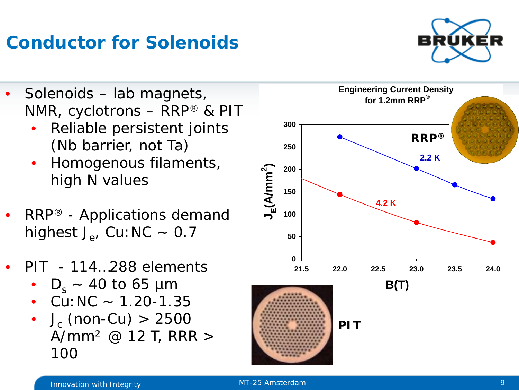### **Conductor for Solenoids**

- Solenoids lab magnets, NMR, cyclotrons – RRP® & PIT
	- Reliable persistent joints (Nb barrier, not Ta)
	- Homogenous filaments, high N values
- RRP® Applications demand highest  $J_e$ , Cu: NC ~ 0.7
- PIT 114…288 elements
	- $D_s \sim 40$  to 65 µm
	- Cu:  $NC 1.20 1.35$
	- $J_c$  (non-Cu) > 2500 A/mm² @ 12 T, RRR > 100



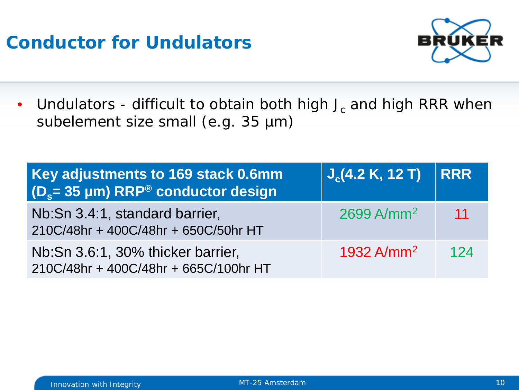### **Conductor for Undulators**



• Undulators - difficult to obtain both high  $J_c$  and high RRR when subelement size small (e.g. 35 µm)

| Key adjustments to 169 stack 0.6mm<br>(D <sub>s</sub> = 35 µm) RRP® conductor design | $J_c(4.2 K, 12 T)$       | <b>RRR</b> |
|--------------------------------------------------------------------------------------|--------------------------|------------|
| Nb:Sn 3.4:1, standard barrier,<br>210C/48hr + 400C/48hr + 650C/50hr HT               | $2699$ A/mm <sup>2</sup> | -11        |
| Nb:Sn 3.6:1, 30% thicker barrier,<br>210C/48hr + 400C/48hr + 665C/100hr HT           | 1932 $A/mm^2$            | 124        |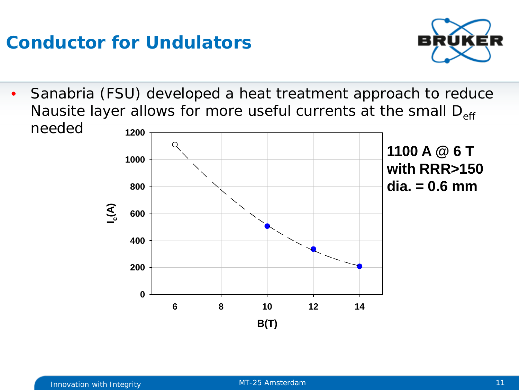### **Conductor for Undulators**



• Sanabria (FSU) developed a heat treatment approach to reduce Nausite layer allows for more useful currents at the small  $D_{\text{eff}}$ 

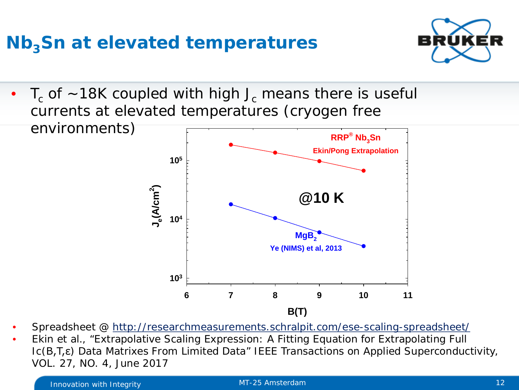### **Nb<sub>3</sub>Sn at elevated temperatures**



 $T_c$  of ~18K coupled with high J<sub>c</sub> means there is useful currents at elevated temperatures (cryogen free environments)



- Spreadsheet @<http://researchmeasurements.schralpit.com/ese-scaling-spreadsheet/>
- Ekin et al., "Extrapolative Scaling Expression: A Fitting Equation for Extrapolating Full Ic(B,T,ε) Data Matrixes From Limited Data" IEEE Transactions on Applied Superconductivity, VOL. 27, NO. 4, June 2017